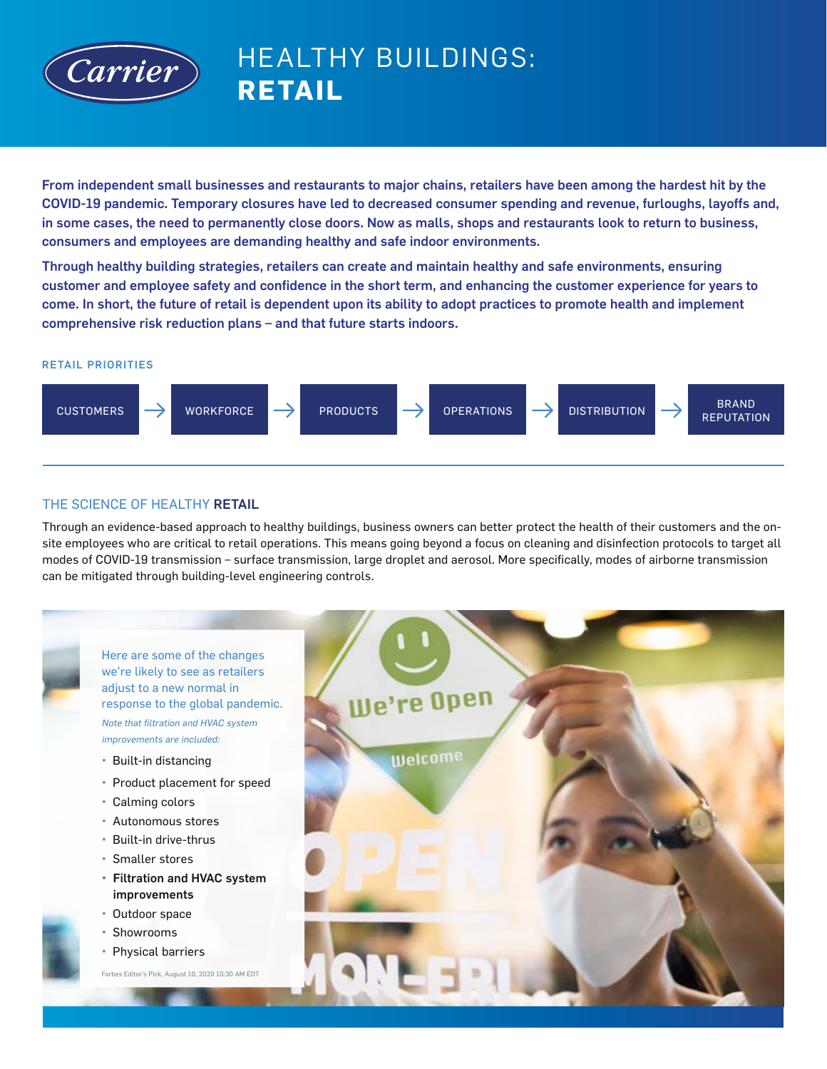

# HEALTHY BUILDINGS: **RETAIL**

From independent small businesses and restaurants to major chains, retailers have been among the hardest hit by the COVID-19 pandemic. Temporary closures have led to decreased consumer spending and revenue, furloughs, layoffs and, in some cases, the need to permanently close doors. Now as malls, shops and restaurants look to return to business, consumers and employees are demanding healthy and safe indoor environments.

Through healthy building strategies, retailers can create and maintain healthy and safe environments, ensuring customer and employee safety and confidence in the short term, and enhancing the customer experience for years to come. In short, the future of retail is dependent upon its ability to adopt practices to promote health and implement comprehensive risk reduction plans – and that future starts indoors.

#### RETAIL PRIORITIES



## THE SCIENCE OF HEALTHY RETAIL

Through an evidence-based approach to healthy buildings, business owners can better protect the health of their customers and the onsite employees who are critical to retail operations. This means going beyond a focus on cleaning and disinfection protocols to target all modes of COVID-19 transmission – surface transmission, large droplet and aerosol. More specifically, modes of airborne transmission can be mitigated through building-level engineering controls.

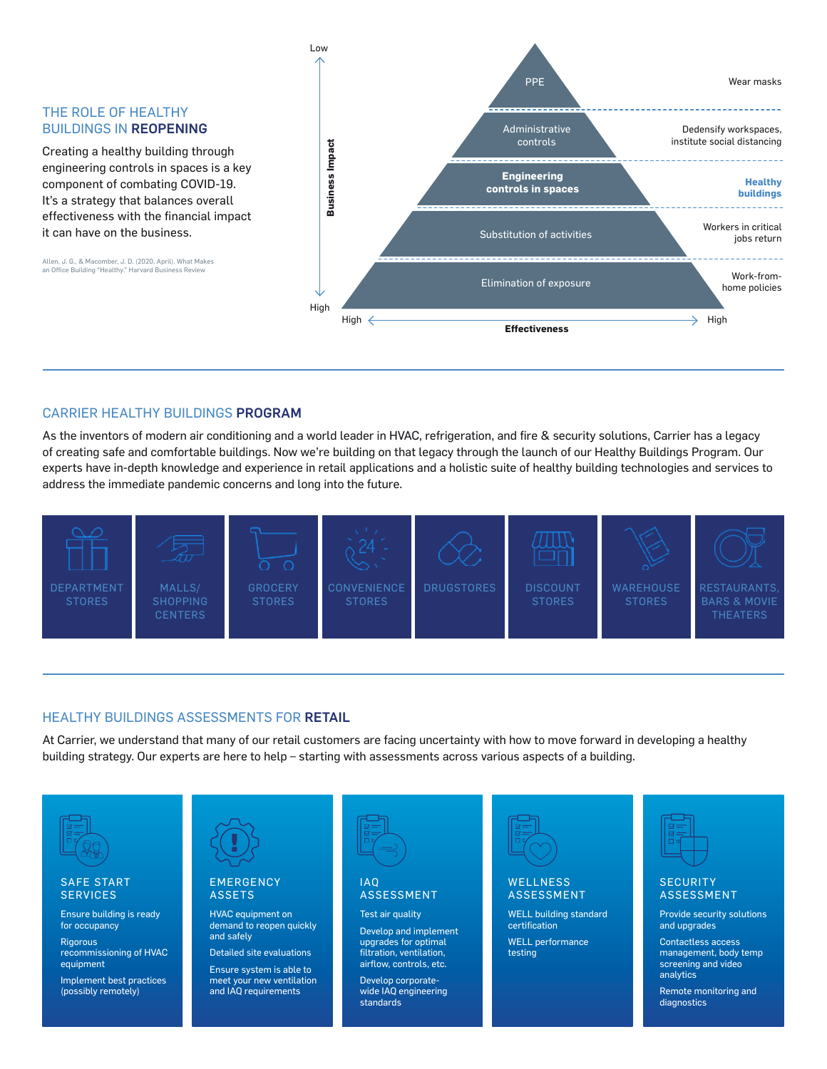#### THE ROLE OF HEALTHY BUILDINGS IN REOPENING

Creating a healthy building through engineering controls in spaces is a key component of combating COVID-19. It's a strategy that balances overall effectiveness with the financial impact it can have on the business.

Allen, J. G., & Macomber, J. D. (2020, April). What Makes an Office Building "Healthy." Harvard Business Review



### CARRIER HEALTHY BUILDINGS PROGRAM

As the inventors of modern air conditioning and a world leader in HVAC, refrigeration, and fire & security solutions, Carrier has a legacy of creating safe and comfortable buildings. Now we're building on that legacy through the launch of our Healthy Buildings Program. Our experts have in-depth knowledge and experience in retail applications and a holistic suite of healthy building technologies and services to address the immediate pandemic concerns and long into the future.



#### HEALTHY BUILDINGS ASSESSMENTS FOR RETAIL

At Carrier, we understand that many of our retail customers are facing uncertainty with how to move forward in developing a healthy building strategy. Our experts are here to help – starting with assessments across various aspects of a building.

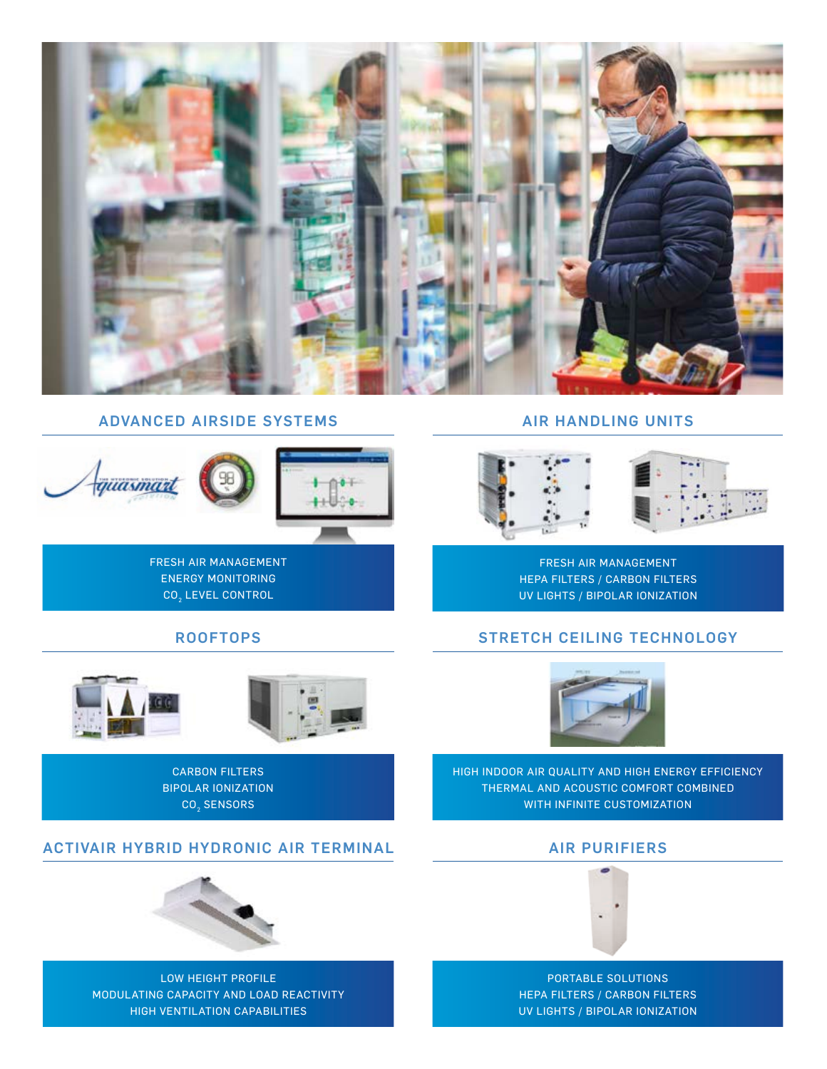

## ADVANCED AIRSIDE SYSTEMS



FRESH AIR MANAGEMENT ENERGY MONITORING CO<sub>2</sub> LEVEL CONTROL

#### ROOFTOPS



CARBON FILTERS BIPOLAR IONIZATION CO<sub>2</sub> SENSORS

## ACTIVAIR HYBRID HYDRONIC AIR TERMINAL



LOW HEIGHT PROFILE MODULATING CAPACITY AND LOAD REACTIVITY HIGH VENTILATION CAPABILITIES

AIR HANDLING UNITS



FRESH AIR MANAGEMENT HEPA FILTERS / CARBON FILTERS UV LIGHTS / BIPOLAR IONIZATION

## STRETCH CEILING TECHNOLOGY



HIGH INDOOR AIR QUALITY AND HIGH ENERGY EFFICIENCY THERMAL AND ACOUSTIC COMFORT COMBINED WITH INFINITE CUSTOMIZATION

### AIR PURIFIERS



PORTABLE SOLUTIONS HEPA FILTERS / CARBON FILTERS UV LIGHTS / BIPOLAR IONIZATION